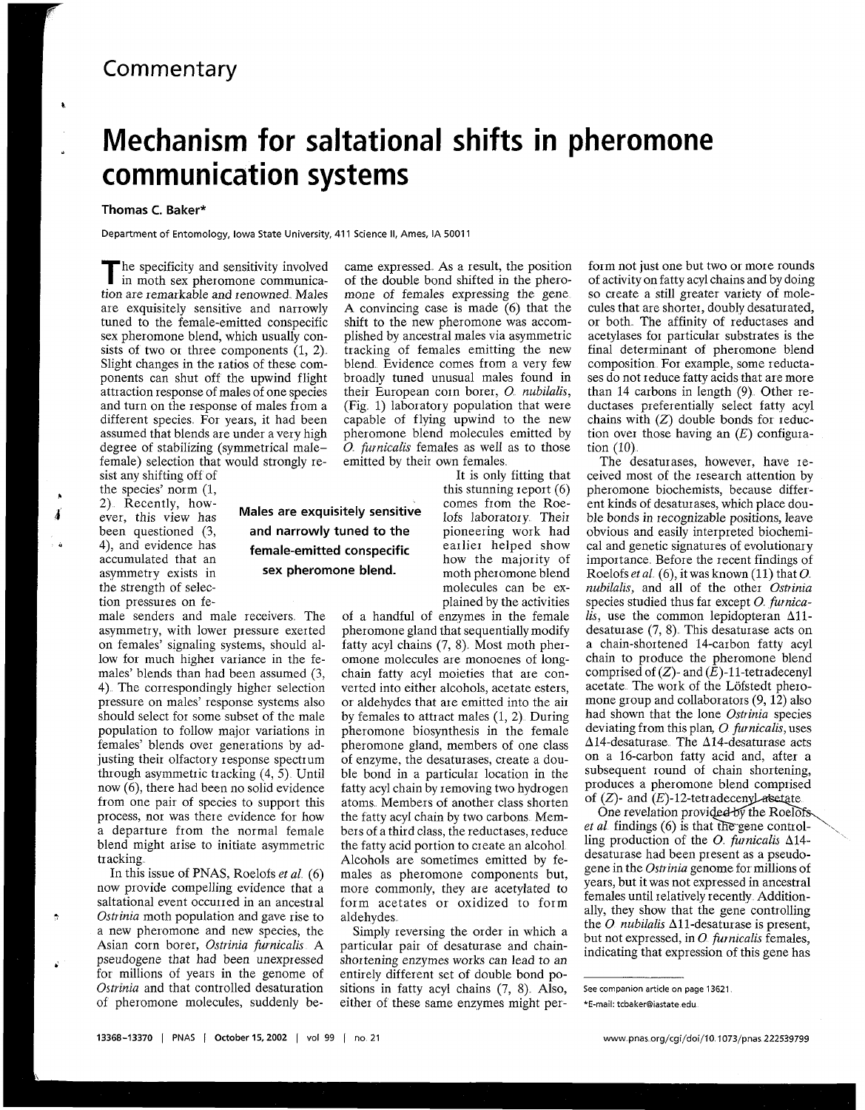## **Commentary**

## **Mechanism for saltational shifts in pheromone communication systems**

## **Thomas C. Baker\***

**Department of Entomology, Iowa State University, 41 1 Science 11, Ames, IA 5001 1** 

**T** he specificity and sensitivity involved in moth sex pheromone communication are remarkable and renowned Males are exquisitely sensitive and narrowly tuned to the female-emitted conspecific sex pheromone blend, which usually consists of two or three components  $(1, 2)$ . Slight changes in the ratios of these components can shut off the upwind flight attraction response of males of one species and turn on the response of males from a different species. For years, it had been assumed that blends are under a very high degree of stabilizing (symmetrical malefemale) selection that would strongly re-

sist any shifting off of ever, this view has **Males are exquisitely sensitive** lofs laboratory. Their been questioned (3, and narrowly tuned to the pioneering work had been questioned (3, **and narrowly tuned to the** 4), and evidence has **formula equation contract** 4), and evidence has **female-emitted conspecific** earlier helped show accumulated that an **female-emitted conspecific** how the majority of accumulated that an **how the majority of** asymmetry exists in **sex pheromone blend.** how the majority of the strength of selection pressures on fe-

male senders and male receivers The asymmetry, with lower pressure exerted on females' signaling systems, should allow for much higher variance in the females' blends than had been assumed (3, 4) The correspondingly higher selection pressure on males' response systems also should select for some subset of the male population to follow major variations in females' blends over generations by adjusting their olfactory response spectrum through asymmetric tracking  $(4, 5)$ . Until now (6), there had been no solid evidence from one pair of species to support this process, nor was there evidence for how a departure from the normal female blend might arise to initiate asymmetric tracking

In this issue of PNAS, Roelofs *et a1* (6) now provide compelling evidence that a saltational event occuned in an ancestral *Ostrinia* moth population and gave rise to a new pheromone and new species, the Asian corn borer, Ostrinia furnicalis A **<sup>b</sup>**pseudogene that had been unexpressed for millions of years in the genome of *Ostrinia* and that controlled desaturation of pheromone molecules, suddenly be-

came expressed. As a result, the position of the double bond shifted in the pheromone of females expressing the gene A convincing case is made (6) that the shift to the new pheromone was accomplished by ancestral males via asymmetric tracking of females emitting the new blend. Evidence comes from a very few broadly tuned unusual males found in their European corn borer, *O. nubilalis*, (Fig. 1) laboratory population that were capable of flying upwind to the new pheromone blend molecules emitted by *0 furnicalzs* females as well as to those emitted by their own females

It is only fitting that<br>this stunning report  $(6)$ the species' norm (1, this stunning report (6)<br>
2) Recently, how-<br>
ever, this view has **Males are exquisitely sensitive** comes from the Roe-<br>
lofs laboratory. Their moth pheromone blend molecules can be explained by the activities

of a handful of enzymes in the female pheromone gland that sequentially modify fatty acyl chains  $(7, 8)$ . Most moth pheromone molecules are monoenes of longchain fatty acyl moieties that are converted into either alcohols, acetate esters, or aldehydes that are emitted into the air by females to attract males  $(1, 2)$ . During pheromone biosynthesis in the female pheromone gland, members of one class of enzyme, the desaturases, create a double bond in a particular location in the fatty acyl chain by removing two hydrogen atoms Members of another class shorten the fatty acyl chain by two carbons Members of a third class, the reductases, reduce the fatty acid portion to create an alcohol Alcohols are sometimes emitted by females as pheromone components but, more commonly, they are acetylated to form acetates or oxidized to form aldehydes

Simply reversing the order in which a particular pair of desaturase and chainshortening enzymes works can lead to an entirely different set of double bond positions in fatty acyl chains (7, 8) Also, either of these same enzymes might per-

form not just one but two or more rounds of activity on fatty acyl chains and by doing so create a still greater variety of molecules that are shorter, doubly desaturated, or both The affinity of reductases and acetylases for particular substrates is the final determinant of pheromone blend composition. For example, some reductases do not reduce fatty acids that are more than 14 carbons in length (9). Other reductases preferentially select fatty acyl chains with  $(Z)$  double bonds for reduction over those having an  $(E)$  configuration (10)

The desaturases, however, have received most of the research attention by pheromone biochemists, because different kinds of desaturases, which place double bonds in recognizable positions, leave obvious and easily interpreted biochemical and genetic signatures of evolutionary importance Before the recent findings of Roelofs *et al.* (6), it was known (11) that  $O$ .  $nubilalis$ , and all of the other *Ostrinia* species studied thus far except *0 furnica-* $\overline{lis}$ , use the common lepidopteran  $\Delta 11$ desaturase (7, 8) This desaturase acts on a chain-shortened 14-carbon fatty acyl chain to produce the pheromone blend comprised of  $(Z)$ - and  $(\hat{E})$ -11-tetradecenyl acetate The work of the Lofstedt pheromone group and collaborators (9, 12) also had shown that the lone *Ostrinia* species deviating from this plan, *0 furnicalis,* uses A14-desaturase The A14-desaturase acts on a 16-carbon fatty acid and, after a subsequent round of chain shortening. produces a pheromone blend comprised of  $(Z)$ - and  $(E)$ -12-tetradeceny as etate.

One revelation provided by the Roelofs *et al.* findings (6) is that the gene controlling production of the *0 furnicalis* A14 desaturase had been present as a pseudogene in the *Ostrinia* genome for millions of years, but it was not expressed in ancestral females until relatively recently Additionally, they show that the gene controlling the *O. nubilalis*  $\Delta$ 11-desaturase is present, but not expressed, in *0 furnicalis* females, indicating that expression of this gene has

**See companion article on page 13621** 

**<sup>&#</sup>x27;E-mail: tcbakeraiastate edu**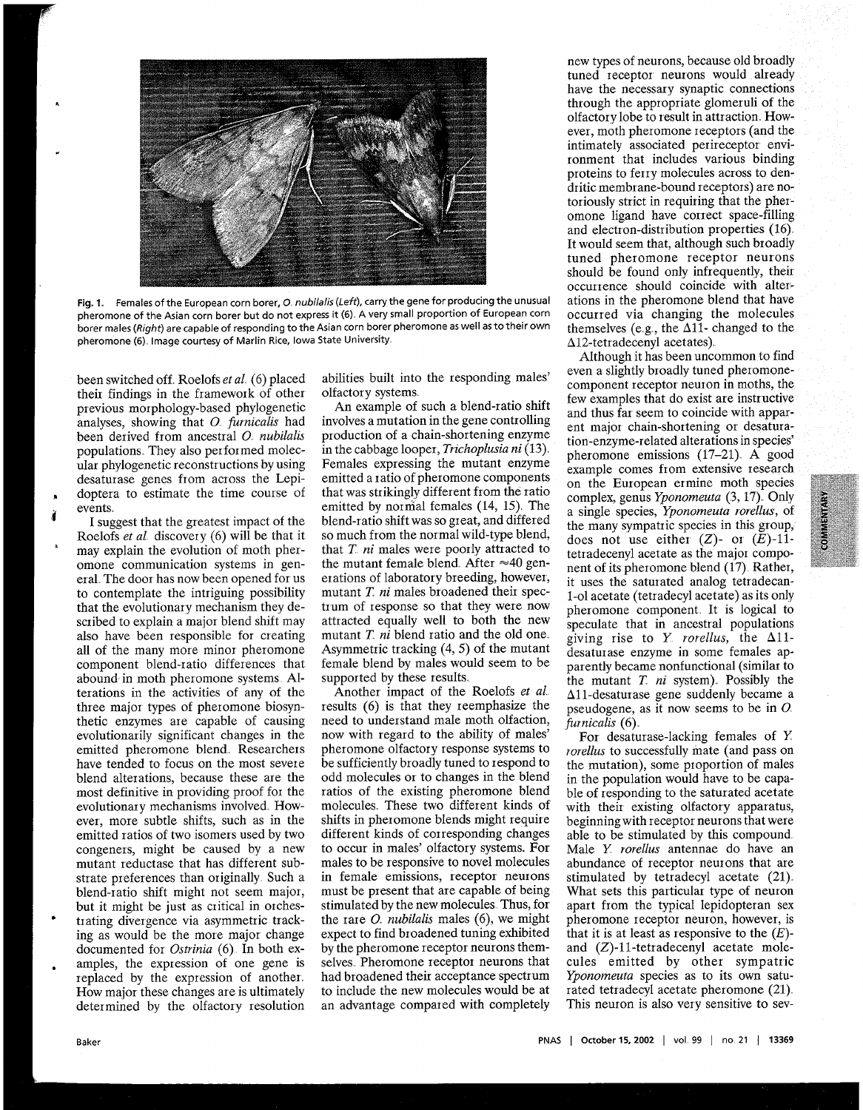

Fig. 1. Females of the European corn borer, *O. nubilalis (Left)*, carry the gene for producing the unusual ations in the pheromone blend that have<br>pheromone of the Asian corn borer but do not express it (6). A very small pheromone of the Asian corn borer but do not express it (6). A very small proportion of European corn occurred via changing the molecules borer males (Right) are capable of responding to the Asian corn borer pheromone as borer males (Right) are capable of responding to the Asian corn borer pheromone as well as to their own<br>pheromone (6). Image courtesy of Marlin Rice, Iowa State University.<br>  $\Delta$ 12-tetradecenyl acetates). pheromone (6). Image courtesy of Marlin Rice, Iowa State University

been switched off Roelofs *et a1* (6) placed their findings in the framework of other previous morphology-based phylogenetic analyses, showing that *0 furmcalis* had been derived from ancestral *O. nubilalis* populations. They also performed molecular phylogenetic reconstructions by using desaturase genes from across the Lepidoptera to estimate the time course of events

I suggest that the greatest impact of the Roelofs *et a1* discovery (6) will be that it may explain the evolution of moth pheromone communication systems in general The door has now been opened for us to contemplate the intriguing possibility that the evolutionary mechanism they described to explain a major blend shift may also have been responsible for creating all of the many more minor pheromone component blend-ratio differences that abound in moth pheromone systems Alterations in the activities of any of the three major types of pheromone biosynthetic enzymes are capable of causing evolutionarily significant changes in the emitted pheromone blend. Researchers have tended to focus on the most severe blend alterations, because these are the most definitive in providing proof foi the evolutionary mechanisms involved. However, more subtle shifts, such as in the emitted ratios of two isomers used by two congeners, might be caused by a new mutant reductase that has different substrate preferences than originally Such a blend-ratio shift might not seem major, but it might be just as critical in orchestrating divergence via asymmetric tracking as would be the more major change documented for *Ostrinia* (6). In both examples, the expression of one gene is replaced by the expression of another How major these changes are is ultimately determined by the olfactory resolution

abilities built into the responding males' olfactory systems

An example of such a blend-ratio shift involves a mutation in the gene controlling production of a chain-shortening enzyme in the cabbage looper, *Trichoplusia ni* (13). Females expressing the mutant enzyme emitted a ratio of pheromone components that was strikingly different from the ratio emitted by normal females  $(14, 15)$ . The blend-ratio shift was so great, and differed so much from the normal wild-type blend, that T *ni* males were poorly attracted to the mutant female blend. After  $\approx 40$  generations of laboratory breeding, however, mutant *T. ni* males broadened their spectrum of response so that they were now attracted equally well to both the new mutant  $T$   $n\hat{i}$  blend ratio and the old one. Asymmetric tracking (4, 5) of the mutant female blend by males would seem to be supported by these results

Another impact of the Roelofs *et a1*  results (6) is that they reemphasize the need to understand male moth olfaction, now with regard to the ability of males' pheromone olfactory response systems to be sufficiently broadly tuned to respond to odd molecules or to changes in the blend ratios of the existing pheromone blend molecules These two different kinds of shifts in pheromone blends might require different kinds of corresponding changes to occur in males' olfactory systems. For males to be responsive to novel molecules in female emissions, receptor neurons must be present that are capable of being stimulated by the new molecules Thus, for the rare *0 nubilalis* males (6), we might expect to find broadened tuning exhibited by the pheromone receptor neurons themselves Pheromone receptor neurons that had broadened their acceptance spectrum to include the new molecules would be at an advantage compared with completely

new types of neurons, because old broadly tuned receptor neurons would already have the necessary synaptic connections through the appropriate glomeruli of the olfactory lobe to result in attraction However, moth pheromone receptors (and the intimately associated perireceptor environment that includes various binding proteins to feny molecules across to dendritic membrane-bound receptors) are notoriously strict in requiring that the pheromone ligand have conect space-filling and electron-distribution properties (16) It would seem that, although such broadly tuned pheromone receptor neurons should be found only infrequently, their<br>occurrence should coincide with alter-

Although it has been uncommon to find even a slightly broadly tuned pheromonecomponent receptor neuron in moths, the few examples that do exist are instructive and thus far seem to coincide with apparent major chain-shortening or desaturation-enzyme-related alterations in species' pheromone emissions (17-21) A good example comes from extensive research on the European ermine moth species complex, genus *Yponomeuta* (3, 17) Only a single species, *Yponomeuta rorellus,* of the many sympatric species in this group, does not use either  $(Z)$ - or  $(E)$ -11tetradecenyl acetate as the major component of its pheromone blend (17) Rather, it uses the saturated analog tetradecan-1-01 acetate (tetradecyl acetate) as its only pheromone component. It is logical to speculate that in ancestral populations giving rise to  $Y$  *rorellus*, the  $\Delta 11$ desaturase enzyme in some females apparently became nonfunctional (similar to the mutant *T. ni* system). Possibly the All-desaturase gene suddenly became a pseudogene, as it now seems to be in *0 furnicalis* (6)

For desaturase-lacking females of *Y rorellus* to successfully mate (and pass on the mutation), some proportion of males in the population would have to be capable of responding to the saturated acetate with their existing olfactory apparatus, beginningwith receptor neurons that were able to be stimulated by this compound Male *Y rorellus* antennae do have an abundance of receptor neurons that are stimulated by tetradecyl acetate (21) What sets this particular type of neuron apart from the typical lepidopteran sex pheromone receptor neuron, however, is that it is at least as responsive to the *(E)*  and (Z)-11-tetradecenyl acetate molecules emitted by other sympatric *Yponomeuta* species as to its own saturated tetradecyl acetate pheromone (21) This neuron is also very sensitive to sev-